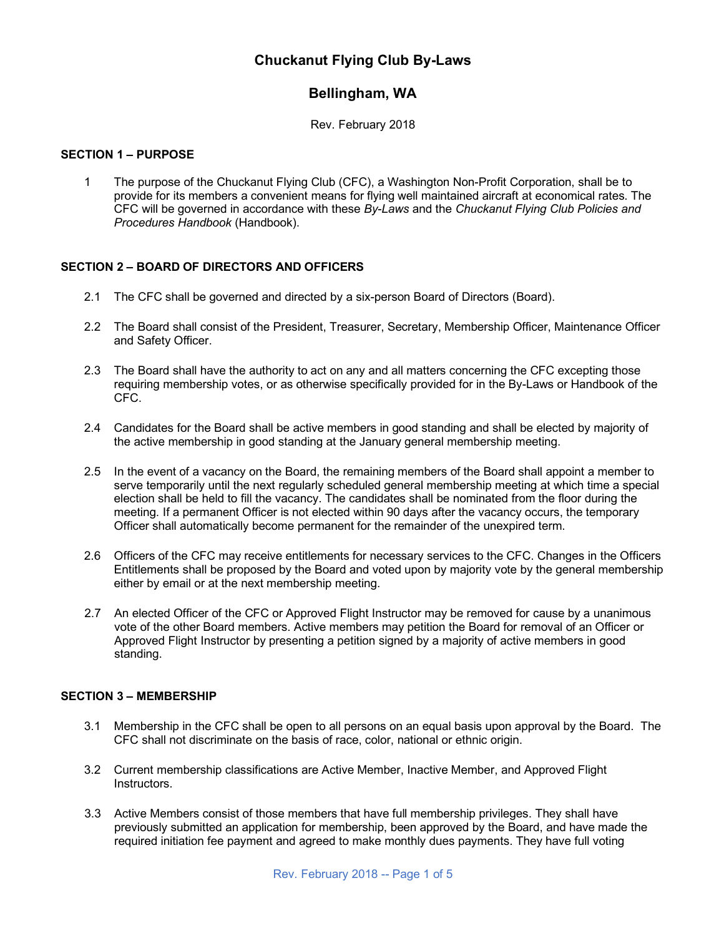# **Chuckanut Flying Club By-Laws**

# **Bellingham, WA**

Rev. February 2018

### **SECTION 1 – PURPOSE**

1 The purpose of the Chuckanut Flying Club (CFC), a Washington Non-Profit Corporation, shall be to provide for its members a convenient means for flying well maintained aircraft at economical rates. The CFC will be governed in accordance with these *By-Laws* and the *Chuckanut Flying Club Policies and Procedures Handbook* (Handbook).

## **SECTION 2 – BOARD OF DIRECTORS AND OFFICERS**

- 2.1 The CFC shall be governed and directed by a six-person Board of Directors (Board).
- 2.2 The Board shall consist of the President, Treasurer, Secretary, Membership Officer, Maintenance Officer and Safety Officer.
- 2.3 The Board shall have the authority to act on any and all matters concerning the CFC excepting those requiring membership votes, or as otherwise specifically provided for in the By-Laws or Handbook of the CFC.
- 2.4 Candidates for the Board shall be active members in good standing and shall be elected by majority of the active membership in good standing at the January general membership meeting.
- 2.5 In the event of a vacancy on the Board, the remaining members of the Board shall appoint a member to serve temporarily until the next regularly scheduled general membership meeting at which time a special election shall be held to fill the vacancy. The candidates shall be nominated from the floor during the meeting. If a permanent Officer is not elected within 90 days after the vacancy occurs, the temporary Officer shall automatically become permanent for the remainder of the unexpired term.
- 2.6 Officers of the CFC may receive entitlements for necessary services to the CFC. Changes in the Officers Entitlements shall be proposed by the Board and voted upon by majority vote by the general membership either by email or at the next membership meeting.
- 2.7 An elected Officer of the CFC or Approved Flight Instructor may be removed for cause by a unanimous vote of the other Board members. Active members may petition the Board for removal of an Officer or Approved Flight Instructor by presenting a petition signed by a majority of active members in good standing.

## **SECTION 3 – MEMBERSHIP**

- 3.1 Membership in the CFC shall be open to all persons on an equal basis upon approval by the Board. The CFC shall not discriminate on the basis of race, color, national or ethnic origin.
- 3.2 Current membership classifications are Active Member, Inactive Member, and Approved Flight Instructors.
- 3.3 Active Members consist of those members that have full membership privileges. They shall have previously submitted an application for membership, been approved by the Board, and have made the required initiation fee payment and agreed to make monthly dues payments. They have full voting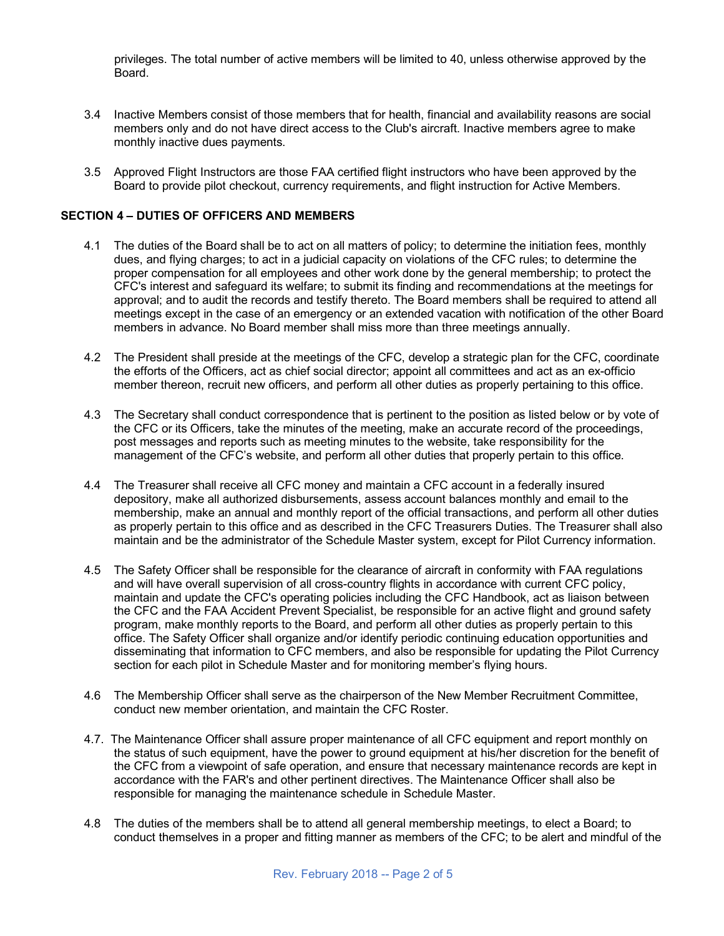privileges. The total number of active members will be limited to 40, unless otherwise approved by the Board.

- 3.4 Inactive Members consist of those members that for health, financial and availability reasons are social members only and do not have direct access to the Club's aircraft. Inactive members agree to make monthly inactive dues payments.
- 3.5 Approved Flight Instructors are those FAA certified flight instructors who have been approved by the Board to provide pilot checkout, currency requirements, and flight instruction for Active Members.

### **SECTION 4 – DUTIES OF OFFICERS AND MEMBERS**

- 4.1 The duties of the Board shall be to act on all matters of policy; to determine the initiation fees, monthly dues, and flying charges; to act in a judicial capacity on violations of the CFC rules; to determine the proper compensation for all employees and other work done by the general membership; to protect the CFC's interest and safeguard its welfare; to submit its finding and recommendations at the meetings for approval; and to audit the records and testify thereto. The Board members shall be required to attend all meetings except in the case of an emergency or an extended vacation with notification of the other Board members in advance. No Board member shall miss more than three meetings annually.
- 4.2 The President shall preside at the meetings of the CFC, develop a strategic plan for the CFC, coordinate the efforts of the Officers, act as chief social director; appoint all committees and act as an ex-officio member thereon, recruit new officers, and perform all other duties as properly pertaining to this office.
- 4.3 The Secretary shall conduct correspondence that is pertinent to the position as listed below or by vote of the CFC or its Officers, take the minutes of the meeting, make an accurate record of the proceedings, post messages and reports such as meeting minutes to the website, take responsibility for the management of the CFC's website, and perform all other duties that properly pertain to this office.
- 4.4 The Treasurer shall receive all CFC money and maintain a CFC account in a federally insured depository, make all authorized disbursements, assess account balances monthly and email to the membership, make an annual and monthly report of the official transactions, and perform all other duties as properly pertain to this office and as described in the CFC Treasurers Duties. The Treasurer shall also maintain and be the administrator of the Schedule Master system, except for Pilot Currency information.
- 4.5 The Safety Officer shall be responsible for the clearance of aircraft in conformity with FAA regulations and will have overall supervision of all cross-country flights in accordance with current CFC policy, maintain and update the CFC's operating policies including the CFC Handbook, act as liaison between the CFC and the FAA Accident Prevent Specialist, be responsible for an active flight and ground safety program, make monthly reports to the Board, and perform all other duties as properly pertain to this office. The Safety Officer shall organize and/or identify periodic continuing education opportunities and disseminating that information to CFC members, and also be responsible for updating the Pilot Currency section for each pilot in Schedule Master and for monitoring member's flying hours.
- 4.6 The Membership Officer shall serve as the chairperson of the New Member Recruitment Committee, conduct new member orientation, and maintain the CFC Roster.
- 4.7. The Maintenance Officer shall assure proper maintenance of all CFC equipment and report monthly on the status of such equipment, have the power to ground equipment at his/her discretion for the benefit of the CFC from a viewpoint of safe operation, and ensure that necessary maintenance records are kept in accordance with the FAR's and other pertinent directives. The Maintenance Officer shall also be responsible for managing the maintenance schedule in Schedule Master.
- 4.8 The duties of the members shall be to attend all general membership meetings, to elect a Board; to conduct themselves in a proper and fitting manner as members of the CFC; to be alert and mindful of the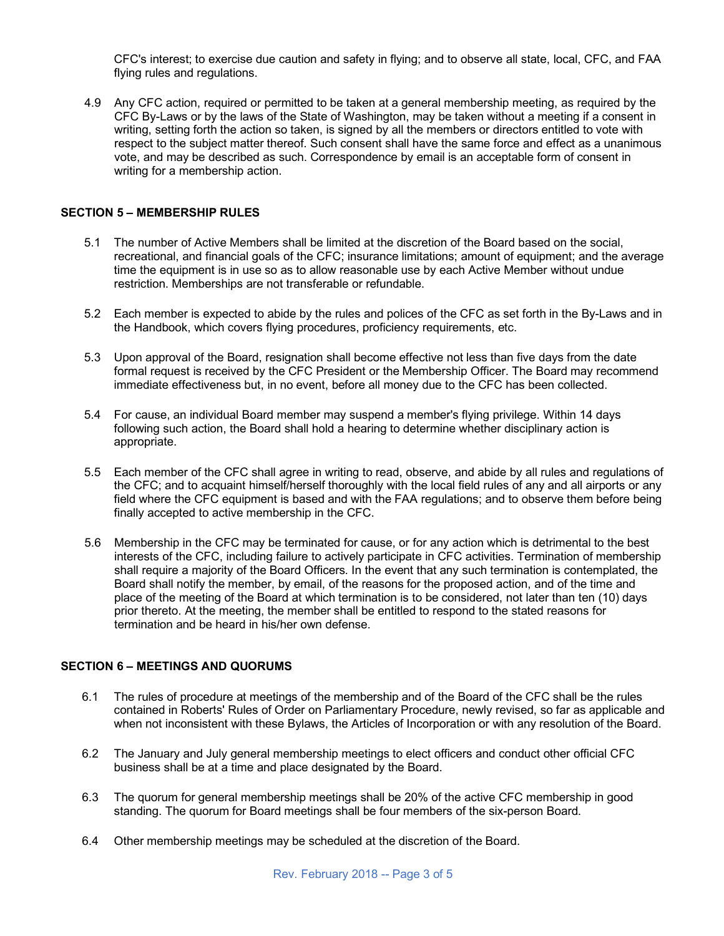CFC's interest; to exercise due caution and safety in flying; and to observe all state, local, CFC, and FAA flying rules and regulations.

4.9 Any CFC action, required or permitted to be taken at a general membership meeting, as required by the CFC By-Laws or by the laws of the State of Washington, may be taken without a meeting if a consent in writing, setting forth the action so taken, is signed by all the members or directors entitled to vote with respect to the subject matter thereof. Such consent shall have the same force and effect as a unanimous vote, and may be described as such. Correspondence by email is an acceptable form of consent in writing for a membership action.

#### **SECTION 5 – MEMBERSHIP RULES**

- 5.1 The number of Active Members shall be limited at the discretion of the Board based on the social, recreational, and financial goals of the CFC; insurance limitations; amount of equipment; and the average time the equipment is in use so as to allow reasonable use by each Active Member without undue restriction. Memberships are not transferable or refundable.
- 5.2 Each member is expected to abide by the rules and polices of the CFC as set forth in the By-Laws and in the Handbook, which covers flying procedures, proficiency requirements, etc.
- 5.3 Upon approval of the Board, resignation shall become effective not less than five days from the date formal request is received by the CFC President or the Membership Officer. The Board may recommend immediate effectiveness but, in no event, before all money due to the CFC has been collected.
- 5.4 For cause, an individual Board member may suspend a member's flying privilege. Within 14 days following such action, the Board shall hold a hearing to determine whether disciplinary action is appropriate.
- 5.5 Each member of the CFC shall agree in writing to read, observe, and abide by all rules and regulations of the CFC; and to acquaint himself/herself thoroughly with the local field rules of any and all airports or any field where the CFC equipment is based and with the FAA regulations; and to observe them before being finally accepted to active membership in the CFC.
- 5.6 Membership in the CFC may be terminated for cause, or for any action which is detrimental to the best interests of the CFC, including failure to actively participate in CFC activities. Termination of membership shall require a majority of the Board Officers. In the event that any such termination is contemplated, the Board shall notify the member, by email, of the reasons for the proposed action, and of the time and place of the meeting of the Board at which termination is to be considered, not later than ten (10) days prior thereto. At the meeting, the member shall be entitled to respond to the stated reasons for termination and be heard in his/her own defense.

## **SECTION 6 – MEETINGS AND QUORUMS**

- 6.1 The rules of procedure at meetings of the membership and of the Board of the CFC shall be the rules contained in Roberts' Rules of Order on Parliamentary Procedure, newly revised, so far as applicable and when not inconsistent with these Bylaws, the Articles of Incorporation or with any resolution of the Board.
- 6.2 The January and July general membership meetings to elect officers and conduct other official CFC business shall be at a time and place designated by the Board.
- 6.3 The quorum for general membership meetings shall be 20% of the active CFC membership in good standing. The quorum for Board meetings shall be four members of the six-person Board.
- 6.4 Other membership meetings may be scheduled at the discretion of the Board.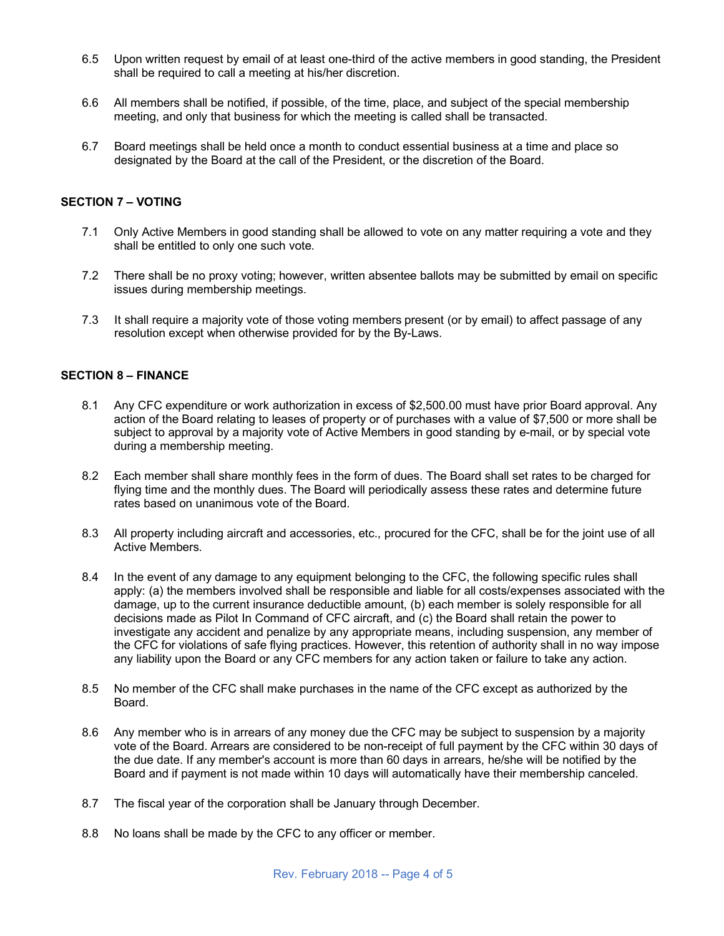- 6.5 Upon written request by email of at least one-third of the active members in good standing, the President shall be required to call a meeting at his/her discretion.
- 6.6 All members shall be notified, if possible, of the time, place, and subject of the special membership meeting, and only that business for which the meeting is called shall be transacted.
- 6.7 Board meetings shall be held once a month to conduct essential business at a time and place so designated by the Board at the call of the President, or the discretion of the Board.

#### **SECTION 7 – VOTING**

- 7.1 Only Active Members in good standing shall be allowed to vote on any matter requiring a vote and they shall be entitled to only one such vote.
- 7.2 There shall be no proxy voting; however, written absentee ballots may be submitted by email on specific issues during membership meetings.
- 7.3 It shall require a majority vote of those voting members present (or by email) to affect passage of any resolution except when otherwise provided for by the By-Laws.

#### **SECTION 8 – FINANCE**

- 8.1 Any CFC expenditure or work authorization in excess of \$2,500.00 must have prior Board approval. Any action of the Board relating to leases of property or of purchases with a value of \$7,500 or more shall be subject to approval by a majority vote of Active Members in good standing by e-mail, or by special vote during a membership meeting.
- 8.2 Each member shall share monthly fees in the form of dues. The Board shall set rates to be charged for flying time and the monthly dues. The Board will periodically assess these rates and determine future rates based on unanimous vote of the Board.
- 8.3 All property including aircraft and accessories, etc., procured for the CFC, shall be for the joint use of all Active Members.
- 8.4 In the event of any damage to any equipment belonging to the CFC, the following specific rules shall apply: (a) the members involved shall be responsible and liable for all costs/expenses associated with the damage, up to the current insurance deductible amount, (b) each member is solely responsible for all decisions made as Pilot In Command of CFC aircraft, and (c) the Board shall retain the power to investigate any accident and penalize by any appropriate means, including suspension, any member of the CFC for violations of safe flying practices. However, this retention of authority shall in no way impose any liability upon the Board or any CFC members for any action taken or failure to take any action.
- 8.5 No member of the CFC shall make purchases in the name of the CFC except as authorized by the Board.
- 8.6 Any member who is in arrears of any money due the CFC may be subject to suspension by a majority vote of the Board. Arrears are considered to be non-receipt of full payment by the CFC within 30 days of the due date. If any member's account is more than 60 days in arrears, he/she will be notified by the Board and if payment is not made within 10 days will automatically have their membership canceled.
- 8.7 The fiscal year of the corporation shall be January through December.
- 8.8 No loans shall be made by the CFC to any officer or member.